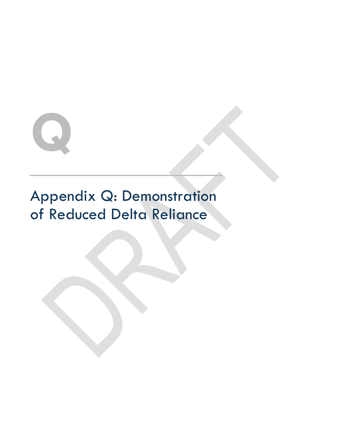

# Appendix Q: Demonstration of Reduced Delta Reliance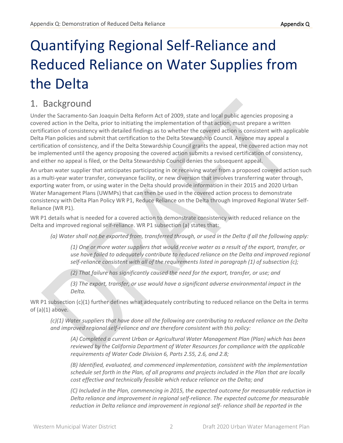# Quantifying Regional Self-Reliance and Reduced Reliance on Water Supplies from the Delta

# 1. Background

Under the Sacramento-San Joaquin Delta Reform Act of 2009, state and local public agencies proposing a covered action in the Delta, prior to initiating the implementation of that action, must prepare a written certification of consistency with detailed findings as to whether the covered action is consistent with applicable Delta Plan policies and submit that certification to the Delta Stewardship Council. Anyone may appeal a certification of consistency, and if the Delta Stewardship Council grants the appeal, the covered action may not be implemented until the agency proposing the covered action submits a revised certification of consistency, and either no appeal is filed, or the Delta Stewardship Council denies the subsequent appeal.

An urban water supplier that anticipates participating in or receiving water from a proposed covered action such as a multi-year water transfer, conveyance facility, or new diversion that involves transferring water through, exporting water from, or using water in the Delta should provide information in their 2015 and 2020 Urban Water Management Plans (UWMPs) that can then be used in the covered action process to demonstrate consistency with Delta Plan Policy WR P1, Reduce Reliance on the Delta through Improved Regional Water Self-Reliance (WR P1).

WR P1 details what is needed for a covered action to demonstrate consistency with reduced reliance on the Delta and improved regional self-reliance. WR P1 subsection (a) states that:

*(a) Water shall not be exported from, transferred through, or used in the Delta if all the following apply:*

*(1) One or more water suppliers that would receive water as a result of the export, transfer, or use have failed to adequately contribute to reduced reliance on the Delta and improved regional self-reliance consistent with all of the requirements listed in paragraph (1) of subsection (c);*

*(2) That failure has significantly caused the need for the export, transfer, or use; and*

*(3) The export, transfer, or use would have a significant adverse environmental impact in the Delta.*

WR P1 subsection (c)(1) further defines what adequately contributing to reduced reliance on the Delta in terms of  $(a)(1)$  above.

*(c)(1) Water suppliers that have done all the following are contributing to reduced reliance on the Delta and improved regional self-reliance and are therefore consistent with this policy:*

*(A) Completed a current Urban or Agricultural Water Management Plan (Plan) which has been reviewed by the California Department of Water Resources for compliance with the applicable requirements of Water Code Division 6, Parts 2.55, 2.6, and 2.8;*

*(B) Identified, evaluated, and commenced implementation, consistent with the implementation schedule set forth in the Plan, of all programs and projects included in the Plan that are locally cost effective and technically feasible which reduce reliance on the Delta; and*

*(C) Included in the Plan, commencing in 2015, the expected outcome for measurable reduction in Delta reliance and improvement in regional self-reliance. The expected outcome for measurable reduction in Delta reliance and improvement in regional self- reliance shall be reported in the*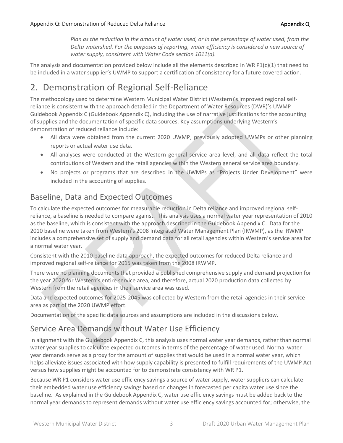*Plan as the reduction in the amount of water used, or in the percentage of water used, from the Delta watershed. For the purposes of reporting, water efficiency is considered a new source of water supply, consistent with Water Code section 1011(a).*

The analysis and documentation provided below include all the elements described in WR P1 $(c)(1)$  that need to be included in a water supplier's UWMP to support a certification of consistency for a future covered action.

# 2. Demonstration of Regional Self-Reliance

The methodology used to determine Western Municipal Water District (Western)'s improved regional selfreliance is consistent with the approach detailed in the Department of Water Resources (DWR)'s UWMP Guidebook Appendix C (Guidebook Appendix C), including the use of narrative justifications for the accounting of supplies and the documentation of specific data sources. Key assumptions underlying Western's demonstration of reduced reliance include:

- All data were obtained from the current 2020 UWMP, previously adopted UWMPs or other planning reports or actual water use data.
- All analyses were conducted at the Western general service area level, and all data reflect the total contributions of Western and the retail agencies within the Western general service area boundary.
- No projects or programs that are described in the UWMPs as "Projects Under Development" were included in the accounting of supplies.

# Baseline, Data and Expected Outcomes

To calculate the expected outcomes for measurable reduction in Delta reliance and improved regional selfreliance, a baseline is needed to compare against. This analysis uses a normal water year representation of 2010 as the baseline, which is consistent with the approach described in the Guidebook Appendix C. Data for the 2010 baseline were taken from Western's 2008 Integrated Water Management Plan (IRWMP), as the IRWMP includes a comprehensive set of supply and demand data for all retail agencies within Western's service area for a normal water year.

Consistent with the 2010 baseline data approach, the expected outcomes for reduced Delta reliance and improved regional self-reliance for 2015 was taken from the 2008 IRWMP.

There were no planning documents that provided a published comprehensive supply and demand projection for the year 2020 for Western's entire service area, and therefore, actual 2020 production data collected by Western from the retail agencies in their service area was used.

Data and expected outcomes for 2025-2045 was collected by Western from the retail agencies in their service area as part of the 2020 UWMP effort.

Documentation of the specific data sources and assumptions are included in the discussions below.

## Service Area Demands without Water Use Efficiency

In alignment with the Guidebook Appendix C, this analysis uses normal water year demands, rather than normal water year supplies to calculate expected outcomes in terms of the percentage of water used. Normal water year demands serve as a proxy for the amount of supplies that would be used in a normal water year, which helps alleviate issues associated with how supply capability is presented to fulfill requirements of the UWMP Act versus how supplies might be accounted for to demonstrate consistency with WR P1.

Because WR P1 considers water use efficiency savings a source of water supply, water suppliers can calculate their embedded water use efficiency savings based on changes in forecasted per capita water use since the baseline. As explained in the Guidebook Appendix C, water use efficiency savings must be added back to the normal year demands to represent demands without water use efficiency savings accounted for; otherwise, the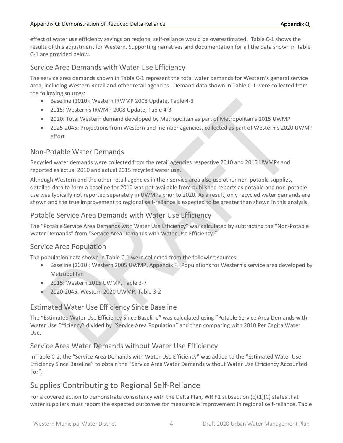effect of water use efficiency savings on regional self-reliance would be overestimated. Table C-1 shows the results of this adjustment for Western. Supporting narratives and documentation for all the data shown in Table C-1 are provided below.

#### Service Area Demands with Water Use Efficiency

The service area demands shown in Table C-1 represent the total water demands for Western's general service area, including Western Retail and other retail agencies. Demand data shown in Table C-1 were collected from the following sources:

- Baseline (2010): Western IRWMP 2008 Update, Table 4-3
- 2015: Western's IRWMP 2008 Update, Table 4-3
- 2020: Total Western demand developed by Metropolitan as part of Metropolitan's 2015 UWMP
- 2025-2045: Projections from Western and member agencies, collected as part of Western's 2020 UWMP effort

#### Non-Potable Water Demands

Recycled water demands were collected from the retail agencies respective 2010 and 2015 UWMPs and reported as actual 2010 and actual 2015 recycled water use.

Although Western and the other retail agencies in their service area also use other non-potable supplies, detailed data to form a baseline for 2010 was not available from published reports as potable and non-potable use was typically not reported separately in UWMPs prior to 2020. As a result, only recycled water demands are shown and the true improvement to regional self-reliance is expected to be greater than shown in this analysis.

#### Potable Service Area Demands with Water Use Efficiency

The "Potable Service Area Demands with Water Use Efficiency" was calculated by subtracting the "Non-Potable Water Demands" from "Service Area Demands with Water Use Efficiency."

#### Service Area Population

The population data shown in Table C-1 were collected from the following sources:

- Baseline (2010): Western 2005 UWMP, Appendix F. Populations for Western's service area developed by Metropolitan
- 2015: Western 2015 UWMP, Table 3-7
- 2020-2045: Western 2020 UWMP, Table 3-2

#### Estimated Water Use Efficiency Since Baseline

The "Estimated Water Use Efficiency Since Baseline" was calculated using "Potable Service Area Demands with Water Use Efficiency" divided by "Service Area Population" and then comparing with 2010 Per Capita Water Use.

#### Service Area Water Demands without Water Use Efficiency

In Table C-2, the "Service Area Demands with Water Use Efficiency" was added to the "Estimated Water Use Efficiency Since Baseline" to obtain the "Service Area Water Demands without Water Use Efficiency Accounted For".

## Supplies Contributing to Regional Self-Reliance

For a covered action to demonstrate consistency with the Delta Plan, WR P1 subsection  $(c)(1)(C)$  states that water suppliers must report the expected outcomes for measurable improvement in regional self-reliance. Table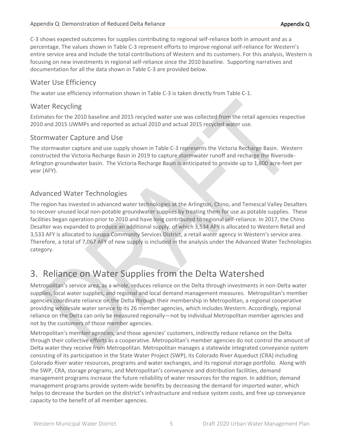C-3 shows expected outcomes for supplies contributing to regional self-reliance both in amount and as a percentage. The values shown in Table C-3 represent efforts to improve regional self-reliance for Western's entire service area and include the total contributions of Western and its customers. For this analysis, Western is focusing on new investments in regional self-reliance since the 2010 baseline. Supporting narratives and documentation for all the data shown in Table C-3 are provided below.

#### Water Use Efficiency

The water use efficiency information shown in Table C-3 is taken directly from Table C-1.

#### Water Recycling

Estimates for the 2010 baseline and 2015 recycled water use was collected from the retail agencies respective 2010 and 2015 UWMPs and reported as actual 2010 and actual 2015 recycled water use.

#### Stormwater Capture and Use

The stormwater capture and use supply shown in Table C-3 represents the Victoria Recharge Basin. Western constructed the Victoria Recharge Basin in 2019 to capture stormwater runoff and recharge the Riverside-Arlington groundwater basin. The Victoria Recharge Basin is anticipated to provide up to 1,800 acre-feet per year (AFY).

#### Advanced Water Technologies

The region has invested in advanced water technologies at the Arlington, Chino, and Temescal Valley Desalters to recover unused local non-potable groundwater supplies by treating them for use as potable supplies. These facilities began operation prior to 2010 and have long contributed to regional self-reliance. In 2017, the Chino Desalter was expanded to produce an additional supply, of which 3,534 AFY is allocated to Western Retail and 3,533 AFY is allocated to Jurupa Community Services District, a retail water agency in Western's service area. Therefore, a total of 7,067 AFY of new supply is included in the analysis under the Advanced Water Technologies category.

# 3. Reliance on Water Supplies from the Delta Watershed

Metropolitan's service area, as a whole, reduces reliance on the Delta through investments in non-Delta water supplies, local water supplies, and regional and local demand management measures. Metropolitan's member agencies coordinate reliance on the Delta through their membership in Metropolitan, a regional cooperative providing wholesale water service to its 26 member agencies, which includes Western. Accordingly, regional reliance on the Delta can only be measured regionally—not by individual Metropolitan member agencies and not by the customers of those member agencies.

Metropolitan's member agencies, and those agencies' customers, indirectly reduce reliance on the Delta through their collective efforts as a cooperative. Metropolitan's member agencies do not control the amount of Delta water they receive from Metropolitan. Metropolitan manages a statewide integrated conveyance system consisting of its participation in the State Water Project (SWP), its Colorado River Aqueduct (CRA) including Colorado River water resources, programs and water exchanges, and its regional storage portfolio. Along with the SWP, CRA, storage programs, and Metropolitan's conveyance and distribution facilities, demand management programs increase the future reliability of water resources for the region. In addition, demand management programs provide system-wide benefits by decreasing the demand for imported water, which helps to decrease the burden on the district's infrastructure and reduce system costs, and free up conveyance capacity to the benefit of all member agencies.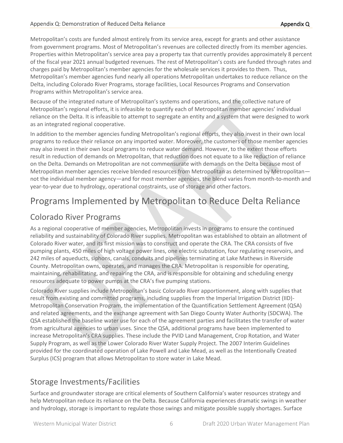Metropolitan's costs are funded almost entirely from its service area, except for grants and other assistance from government programs. Most of Metropolitan's revenues are collected directly from its member agencies. Properties within Metropolitan's service area pay a property tax that currently provides approximately 8 percent of the fiscal year 2021 annual budgeted revenues. The rest of Metropolitan's costs are funded through rates and charges paid by Metropolitan's member agencies for the wholesale services it provides to them. Thus, Metropolitan's member agencies fund nearly all operations Metropolitan undertakes to reduce reliance on the Delta, including Colorado River Programs, storage facilities, Local Resources Programs and Conservation Programs within Metropolitan's service area.

Because of the integrated nature of Metropolitan's systems and operations, and the collective nature of Metropolitan's regional efforts, it is infeasible to quantify each of Metropolitan member agencies' individual reliance on the Delta. It is infeasible to attempt to segregate an entity and a system that were designed to work as an integrated regional cooperative.

In addition to the member agencies funding Metropolitan's regional efforts, they also invest in their own local programs to reduce their reliance on any imported water. Moreover, the customers of those member agencies may also invest in their own local programs to reduce water demand. However, to the extent those efforts result in reduction of demands on Metropolitan, that reduction does not equate to a like reduction of reliance on the Delta. Demands on Metropolitan are not commensurate with demands on the Delta because most of Metropolitan member agencies receive blended resources from Metropolitan as determined by Metropolitan not the individual member agency—and for most member agencies, the blend varies from month-to-month and year-to-year due to hydrology, operational constraints, use of storage and other factors.

# Programs Implemented by Metropolitan to Reduce Delta Reliance

## Colorado River Programs

As a regional cooperative of member agencies, Metropolitan invests in programs to ensure the continued reliability and sustainability of Colorado River supplies. Metropolitan was established to obtain an allotment of Colorado River water, and its first mission was to construct and operate the CRA. The CRA consists of five pumping plants, 450 miles of high voltage power lines, one electric substation, four regulating reservoirs, and 242 miles of aqueducts, siphons, canals, conduits and pipelines terminating at Lake Mathews in Riverside County. Metropolitan owns, operates, and manages the CRA. Metropolitan is responsible for operating, maintaining, rehabilitating, and repairing the CRA, and is responsible for obtaining and scheduling energy resources adequate to power pumps at the CRA's five pumping stations.

Colorado River supplies include Metropolitan's basic Colorado River apportionment, along with supplies that result from existing and committed programs, including supplies from the Imperial Irrigation District (IID)- Metropolitan Conservation Program, the implementation of the Quantification Settlement Agreement (QSA) and related agreements, and the exchange agreement with San Diego County Water Authority (SDCWA). The QSA established the baseline water use for each of the agreement parties and facilitates the transfer of water from agricultural agencies to urban uses. Since the QSA, additional programs have been implemented to increase Metropolitan's CRA supplies. These include the PVID Land Management, Crop Rotation, and Water Supply Program, as well as the Lower Colorado River Water Supply Project. The 2007 Interim Guidelines provided for the coordinated operation of Lake Powell and Lake Mead, as well as the Intentionally Created Surplus (ICS) program that allows Metropolitan to store water in Lake Mead.

## Storage Investments/Facilities

Surface and groundwater storage are critical elements of Southern California's water resources strategy and help Metropolitan reduce its reliance on the Delta. Because California experiences dramatic swings in weather and hydrology, storage is important to regulate those swings and mitigate possible supply shortages. Surface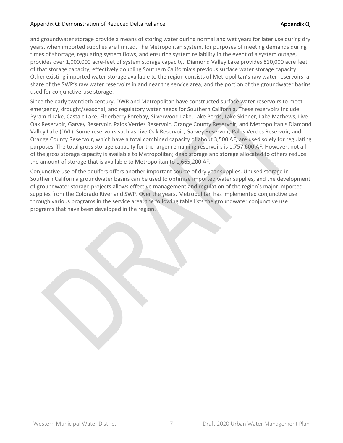and groundwater storage provide a means of storing water during normal and wet years for later use during dry years, when imported supplies are limited. The Metropolitan system, for purposes of meeting demands during times of shortage, regulating system flows, and ensuring system reliability in the event of a system outage, provides over 1,000,000 acre-feet of system storage capacity. Diamond Valley Lake provides 810,000 acre feet of that storage capacity, effectively doubling Southern California's previous surface water storage capacity. Other existing imported water storage available to the region consists of Metropolitan's raw water reservoirs, a share of the SWP's raw water reservoirs in and near the service area, and the portion of the groundwater basins used for conjunctive‐use storage.

Since the early twentieth century, DWR and Metropolitan have constructed surface water reservoirs to meet emergency, drought/seasonal, and regulatory water needs for Southern California. These reservoirs include Pyramid Lake, Castaic Lake, Elderberry Forebay, Silverwood Lake, Lake Perris, Lake Skinner, Lake Mathews, Live Oak Reservoir, Garvey Reservoir, Palos Verdes Reservoir, Orange County Reservoir, and Metropolitan's Diamond Valley Lake (DVL). Some reservoirs such as Live Oak Reservoir, Garvey Reservoir, Palos Verdes Reservoir, and Orange County Reservoir, which have a total combined capacity of about 3,500 AF, are used solely for regulating purposes. The total gross storage capacity for the larger remaining reservoirs is 1,757,600 AF. However, not all of the gross storage capacity is available to Metropolitan; dead storage and storage allocated to others reduce the amount of storage that is available to Metropolitan to 1,665,200 AF.

Conjunctive use of the aquifers offers another important source of dry year supplies. Unused storage in Southern California groundwater basins can be used to optimize imported water supplies, and the development of groundwater storage projects allows effective management and regulation of the region's major imported supplies from the Colorado River and SWP. Over the years, Metropolitan has implemented conjunctive use through various programs in the service area; the following table lists the groundwater conjunctive use programs that have been developed in the region.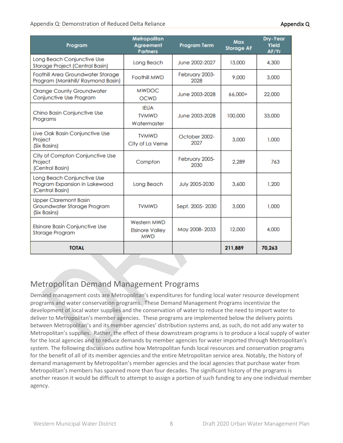#### Appendix Q: Demonstration of Reduced Delta Reliance Appendix Q and Appendix Q appendix Q

| Program                                                                        | Metropolitan<br><b>Agreement</b><br><b>Partners</b>        | <b>Program Term</b>    | Max<br><b>Storage AF</b> | Dry-Year<br>Yield<br>AF/Yr |
|--------------------------------------------------------------------------------|------------------------------------------------------------|------------------------|--------------------------|----------------------------|
| Long Beach Conjunctive Use<br>Storage Project (Central Basin)                  | Long Beach                                                 | June 2002-2027         | 13,000                   | 4.300                      |
| Foothill Area Groundwater Storage<br>Program (Monkhill/ Raymond Basin)         | Foothill MWD                                               | February 2003-<br>2028 | 9,000                    | 3,000                      |
| <b>Orange County Groundwater</b><br>Conjunctive Use Program                    | <b>MWDOC</b><br><b>OCWD</b>                                | June 2003-2028         | 66.000+                  | 22,000                     |
| Chino Basin Conjunctive Use<br>Programs                                        | <b>IFUA</b><br><b>TVMWD</b><br>Watermaster                 | June 2003-2028         | 100,000                  | 33,000                     |
| Live Oak Basin Conjunctive Use<br>Project<br>(Six Basins)                      | <b>TVMWD</b><br>City of La Verne                           | October 2002-<br>2027  | 3,000                    | 1.000                      |
| City of Compton Conjunctive Use<br>Project<br>(Central Basin)                  | Compton                                                    | February 2005-<br>2030 | 2.289                    | 763                        |
| Long Beach Conjunctive Use<br>Program Expansion in Lakewood<br>(Central Basin) | Long Beach                                                 | July 2005-2030         | 3.600                    | 1.200                      |
| <b>Upper Claremont Basin</b><br>Groundwater Storage Program<br>(Six Basins)    | <b>TVMWD</b>                                               | Sept. 2005-2030        | 3.000                    | 1.000                      |
| Elsinore Basin Conjunctive Use<br>Storage Program                              | <b>Western MWD</b><br><b>Elsinore Valley</b><br><b>MWD</b> | May 2008-2033          | 12,000                   | 4.000                      |
| <b>TOTAL</b>                                                                   |                                                            |                        | 211,889                  | 70,263                     |

## Metropolitan Demand Management Programs

Demand management costs are Metropolitan's expenditures for funding local water resource development programs and water conservation programs. These Demand Management Programs incentivize the development of local water supplies and the conservation of water to reduce the need to import water to deliver to Metropolitan's member agencies. These programs are implemented below the delivery points between Metropolitan's and its member agencies' distribution systems and, as such, do not add any water to Metropolitan's supplies. Rather, the effect of these downstream programs is to produce a local supply of water for the local agencies and to reduce demands by member agencies for water imported through Metropolitan's system. The following discussions outline how Metropolitan funds local resources and conservation programs for the benefit of all of its member agencies and the entire Metropolitan service area. Notably, the history of demand management by Metropolitan's member agencies and the local agencies that purchase water from Metropolitan's members has spanned more than four decades. The significant history of the programs is another reason it would be difficult to attempt to assign a portion of such funding to any one individual member agency.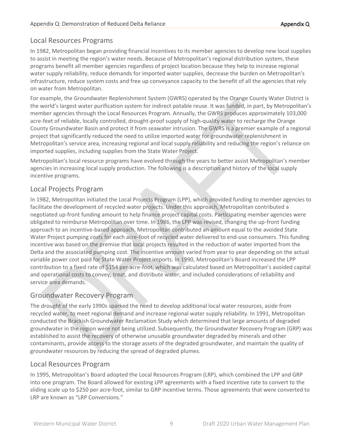#### Local Resources Programs

In 1982, Metropolitan began providing financial incentives to its member agencies to develop new local supplies to assist in meeting the region's water needs. Because of Metropolitan's regional distribution system, these programs benefit all member agencies regardless of project location because they help to increase regional water supply reliability, reduce demands for imported water supplies, decrease the burden on Metropolitan's infrastructure, reduce system costs and free up conveyance capacity to the benefit of all the agencies that rely on water from Metropolitan.

For example, the Groundwater Replenishment System (GWRS) operated by the Orange County Water District is the world's largest water purification system for indirect potable reuse. It was funded, in part, by Metropolitan's member agencies through the Local Resources Program. Annually, the GWRS produces approximately 103,000 acre-feet of reliable, locally controlled, drought-proof supply of high-quality water to recharge the Orange County Groundwater Basin and protect it from seawater intrusion. The GWRS is a premier example of a regional project that significantly reduced the need to utilize imported water for groundwater replenishment in Metropolitan's service area, increasing regional and local supply reliability and reducing the region's reliance on imported supplies, including supplies from the State Water Project.

Metropolitan's local resource programs have evolved through the years to better assist Metropolitan's member agencies in increasing local supply production. The following is a description and history of the local supply incentive programs.

#### Local Projects Program

In 1982, Metropolitan initiated the Local Projects Program (LPP), which provided funding to member agencies to facilitate the development of recycled water projects. Under this approach, Metropolitan contributed a negotiated up-front funding amount to help finance project capital costs. Participating member agencies were obligated to reimburse Metropolitan over time. In 1986, the LPP was revised, changing the up-front funding approach to an incentive-based approach. Metropolitan contributed an amount equal to the avoided State Water Project pumping costs for each acre-foot of recycled water delivered to end-use consumers. This funding incentive was based on the premise that local projects resulted in the reduction of water imported from the Delta and the associated pumping cost. The incentive amount varied from year to year depending on the actual variable power cost paid for State Water Project imports. In 1990, Metropolitan's Board increased the LPP contribution to a fixed rate of \$154 per acre-foot, which was calculated based on Metropolitan's avoided capital and operational costs to convey, treat, and distribute water, and included considerations of reliability and service area demands.

#### Groundwater Recovery Program

The drought of the early 1990s sparked the need to develop additional local water resources, aside from recycled water, to meet regional demand and increase regional water supply reliability. In 1991, Metropolitan conducted the Brackish Groundwater Reclamation Study which determined that large amounts of degraded groundwater in the region were not being utilized. Subsequently, the Groundwater Recovery Program (GRP) was established to assist the recovery of otherwise unusable groundwater degraded by minerals and other contaminants, provide access to the storage assets of the degraded groundwater, and maintain the quality of groundwater resources by reducing the spread of degraded plumes.

#### Local Resources Program

In 1995, Metropolitan's Board adopted the Local Resources Program (LRP), which combined the LPP and GRP into one program. The Board allowed for existing LPP agreements with a fixed incentive rate to convert to the sliding scale up to \$250 per acre-foot, similar to GRP incentive terms. Those agreements that were converted to LRP are known as "LRP Conversions."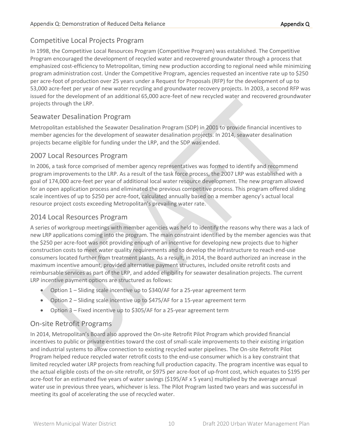#### Competitive Local Projects Program

In 1998, the Competitive Local Resources Program (Competitive Program) was established. The Competitive Program encouraged the development of recycled water and recovered groundwater through a process that emphasized cost-efficiency to Metropolitan, timing new production according to regional need while minimizing program administration cost. Under the Competitive Program, agencies requested an incentive rate up to \$250 per acre-foot of production over 25 years under a Request for Proposals (RFP) for the development of up to 53,000 acre-feet per year of new water recycling and groundwater recovery projects. In 2003, a second RFP was issued for the development of an additional 65,000 acre-feet of new recycled water and recovered groundwater projects through the LRP.

#### Seawater Desalination Program

Metropolitan established the Seawater Desalination Program (SDP) in 2001 to provide financial incentives to member agencies for the development of seawater desalination projects. In 2014, seawater desalination projects became eligible for funding under the LRP, and the SDP was ended.

#### 2007 Local Resources Program

In 2006, a task force comprised of member agency representatives was formed to identify and recommend program improvements to the LRP. As a result of the task force process, the 2007 LRP was established with a goal of 174,000 acre-feet per year of additional local water resource development. The new program allowed for an open application process and eliminated the previous competitive process. This program offered sliding scale incentives of up to \$250 per acre-foot, calculated annually based on a member agency's actual local resource project costs exceeding Metropolitan's prevailing water rate.

#### 2014 Local Resources Program

A series of workgroup meetings with member agencies was held to identify the reasons why there was a lack of new LRP applications coming into the program. The main constraint identified by the member agencies was that the \$250 per acre-foot was not providing enough of an incentive for developing new projects due to higher construction costs to meet water quality requirements and to develop the infrastructure to reach end-use consumers located further from treatment plants. As a result, in 2014, the Board authorized an increase in the maximum incentive amount, provided alternative payment structures, included onsite retrofit costs and reimbursable services as part of the LRP, and added eligibility for seawater desalination projects. The current LRP incentive payment options are structured as follows:

- Option 1 Sliding scale incentive up to \$340/AF for a 25-year agreement term
- Option 2 Sliding scale incentive up to \$475/AF for a 15-year agreement term
- Option 3 Fixed incentive up to \$305/AF for a 25-year agreement term

#### On-site Retrofit Programs

In 2014, Metropolitan's Board also approved the On-site Retrofit Pilot Program which provided financial incentives to public or private entities toward the cost of small-scale improvements to their existing irrigation and industrial systems to allow connection to existing recycled water pipelines. The On-site Retrofit Pilot Program helped reduce recycled water retrofit costs to the end-use consumer which is a key constraint that limited recycled water LRP projects from reaching full production capacity. The program incentive was equal to the actual eligible costs of the on-site retrofit, or \$975 per acre-foot of up-front cost, which equates to \$195 per acre-foot for an estimated five years of water savings (\$195/AF x 5 years) multiplied by the average annual water use in previous three years, whichever is less. The Pilot Program lasted two years and was successful in meeting its goal of accelerating the use of recycled water.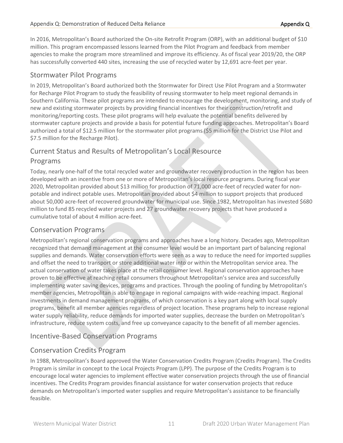In 2016, Metropolitan's Board authorized the On-site Retrofit Program (ORP), with an additional budget of \$10 million. This program encompassed lessons learned from the Pilot Program and feedback from member agencies to make the program more streamlined and improve its efficiency. As of fiscal year 2019/20, the ORP has successfully converted 440 sites, increasing the use of recycled water by 12,691 acre-feet per year.

#### Stormwater Pilot Programs

In 2019, Metropolitan's Board authorized both the Stormwater for Direct Use Pilot Program and a Stormwater for Recharge Pilot Program to study the feasibility of reusing stormwater to help meet regional demands in Southern California. These pilot programs are intended to encourage the development, monitoring, and study of new and existing stormwater projects by providing financial incentives for their construction/retrofit and monitoring/reporting costs. These pilot programs will help evaluate the potential benefits delivered by stormwater capture projects and provide a basis for potential future funding approaches. Metropolitan's Board authorized a total of \$12.5 million for the stormwater pilot programs (\$5 million for the District Use Pilot and \$7.5 million for the Recharge Pilot).

# Current Status and Results of Metropolitan's Local Resource

#### Programs

Today, nearly one-half of the total recycled water and groundwater recovery production in the region has been developed with an incentive from one or more of Metropolitan's local resource programs. During fiscal year 2020, Metropolitan provided about \$13 million for production of 71,000 acre-feet of recycled water for nonpotable and indirect potable uses. Metropolitan provided about \$4 million to support projects that produced about 50,000 acre-feet of recovered groundwater for municipal use. Since 1982, Metropolitan has invested \$680 million to fund 85 recycled water projects and 27 groundwater recovery projects that have produced a cumulative total of about 4 million acre-feet.

#### Conservation Programs

Metropolitan's regional conservation programs and approaches have a long history. Decades ago, Metropolitan recognized that demand management at the consumer level would be an important part of balancing regional supplies and demands. Water conservation efforts were seen as a way to reduce the need for imported supplies and offset the need to transport or store additional water into or within the Metropolitan service area. The actual conservation of water takes place at the retail consumer level. Regional conservation approaches have proven to be effective at reaching retail consumers throughout Metropolitan's service area and successfully implementing water saving devices, programs and practices. Through the pooling of funding by Metropolitan's member agencies, Metropolitan is able to engage in regional campaigns with wide-reaching impact. Regional investments in demand management programs, of which conservation is a key part along with local supply programs, benefit all member agencies regardless of project location. These programs help to increase regional water supply reliability, reduce demands for imported water supplies, decrease the burden on Metropolitan's infrastructure, reduce system costs, and free up conveyance capacity to the benefit of all member agencies.

#### Incentive-Based Conservation Programs

#### Conservation Credits Program

In 1988, Metropolitan's Board approved the Water Conservation Credits Program (Credits Program). The Credits Program is similar in concept to the Local Projects Program (LPP). The purpose of the Credits Program is to encourage local water agencies to implement effective water conservation projects through the use of financial incentives. The Credits Program provides financial assistance for water conservation projects that reduce demands on Metropolitan's imported water supplies and require Metropolitan's assistance to be financially feasible.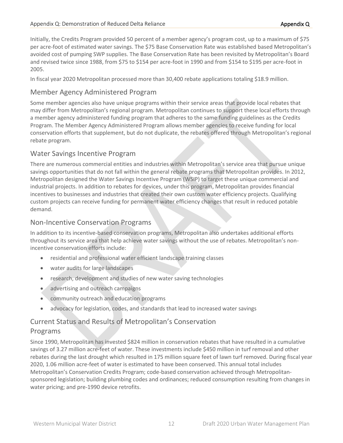Initially, the Credits Program provided 50 percent of a member agency's program cost, up to a maximum of \$75 per acre-foot of estimated water savings. The \$75 Base Conservation Rate was established based Metropolitan's avoided cost of pumping SWP supplies. The Base Conservation Rate has been revisited by Metropolitan's Board and revised twice since 1988, from \$75 to \$154 per acre-foot in 1990 and from \$154 to \$195 per acre-foot in 2005.

In fiscal year 2020 Metropolitan processed more than 30,400 rebate applications totaling \$18.9 million.

#### Member Agency Administered Program

Some member agencies also have unique programs within their service areas that provide local rebates that may differ from Metropolitan's regional program. Metropolitan continues to support these local efforts through a member agency administered funding program that adheres to the same funding guidelines as the Credits Program. The Member Agency Administered Program allows member agencies to receive funding for local conservation efforts that supplement, but do not duplicate, the rebates offered through Metropolitan's regional rebate program.

#### Water Savings Incentive Program

There are numerous commercial entities and industries within Metropolitan's service area that pursue unique savings opportunities that do not fall within the general rebate programs that Metropolitan provides. In 2012, Metropolitan designed the Water Savings Incentive Program (WSIP) to target these unique commercial and industrial projects. In addition to rebates for devices, under this program, Metropolitan provides financial incentives to businesses and industries that created their own custom water efficiency projects. Qualifying custom projects can receive funding for permanent water efficiency changes that result in reduced potable demand.

#### Non-Incentive Conservation Programs

In addition to its incentive-based conservation programs, Metropolitan also undertakes additional efforts throughout its service area that help achieve water savings without the use of rebates. Metropolitan's nonincentive conservation efforts include:

- residential and professional water efficient landscape training classes
- water audits for large landscapes
- research, development and studies of new water saving technologies
- advertising and outreach campaigns
- community outreach and education programs
- advocacy for legislation, codes, and standards that lead to increased water savings

#### Current Status and Results of Metropolitan's Conservation Programs

Since 1990, Metropolitan has invested \$824 million in conservation rebates that have resulted in a cumulative savings of 3.27 million acre-feet of water. These investments include \$450 million in turf removal and other rebates during the last drought which resulted in 175 million square feet of lawn turf removed. During fiscal year 2020, 1.06 million acre-feet of water is estimated to have been conserved. This annual total includes Metropolitan's Conservation Credits Program; code-based conservation achieved through Metropolitansponsored legislation; building plumbing codes and ordinances; reduced consumption resulting from changes in water pricing; and pre-1990 device retrofits.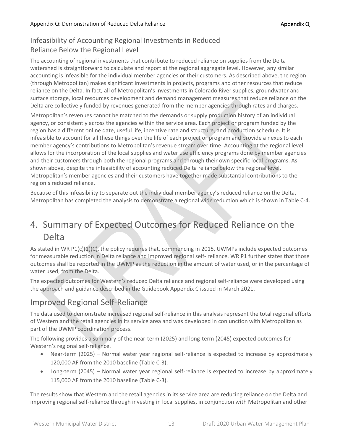## Infeasibility of Accounting Regional Investments in Reduced Reliance Below the Regional Level

The accounting of regional investments that contribute to reduced reliance on supplies from the Delta watershed is straightforward to calculate and report at the regional aggregate level. However, any similar accounting is infeasible for the individual member agencies or their customers. As described above, the region (through Metropolitan) makes significant investments in projects, programs and other resources that reduce reliance on the Delta. In fact, all of Metropolitan's investments in Colorado River supplies, groundwater and surface storage, local resources development and demand management measures that reduce reliance on the Delta are collectively funded by revenues generated from the member agencies through rates and charges.

Metropolitan's revenues cannot be matched to the demands or supply production history of an individual agency, or consistently across the agencies within the service area. Each project or program funded by the region has a different online date, useful life, incentive rate and structure, and production schedule. It is infeasible to account for all these things over the life of each project or program and provide a nexus to each member agency's contributions to Metropolitan's revenue stream over time. Accounting at the regional level allows for the incorporation of the local supplies and water use efficiency programs done by member agencies and their customers through both the regional programs and through their own specific local programs. As shown above, despite the infeasibility of accounting reduced Delta reliance below the regional level, Metropolitan's member agencies and their customers have together made substantial contributions to the region's reduced reliance.

Because of this infeasibility to separate out the individual member agency's reduced reliance on the Delta, Metropolitan has completed the analysis to demonstrate a regional wide reduction which is shown in Table C-4.

# 4. Summary of Expected Outcomes for Reduced Reliance on the Delta

As stated in WR P1(c)(1)(C), the policy requires that, commencing in 2015, UWMPs include expected outcomes for measurable reduction in Delta reliance and improved regional self- reliance. WR P1 further states that those outcomes shall be reported in the UWMP as the reduction in the amount of water used, or in the percentage of water used, from the Delta.

The expected outcomes for Western's reduced Delta reliance and regional self-reliance were developed using the approach and guidance described in the Guidebook Appendix C issued in March 2021.

## Improved Regional Self-Reliance

The data used to demonstrate increased regional self-reliance in this analysis represent the total regional efforts of Western and the retail agencies in its service area and was developed in conjunction with Metropolitan as part of the UWMP coordination process.

The following provides a summary of the near-term (2025) and long-term (2045) expected outcomes for Western's regional self-reliance.

- Near-term (2025) Normal water year regional self-reliance is expected to increase by approximately 120,000 AF from the 2010 baseline (Table C-3).
- Long-term (2045) Normal water year regional self-reliance is expected to increase by approximately 115,000 AF from the 2010 baseline (Table C-3).

The results show that Western and the retail agencies in its service area are reducing reliance on the Delta and improving regional self-reliance through investing in local supplies, in conjunction with Metropolitan and other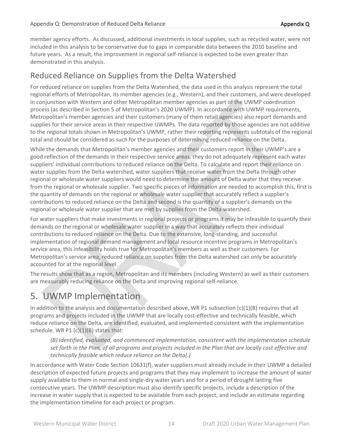member agency efforts. As discussed, additional investments in local supplies, such as recycled water, were not included in this analysis to be conservative due to gaps in comparable data between the 2010 baseline and future years. As a result, the improvement in regional self-reliance is expected to be even greater than demonstrated in this analysis.

## Reduced Reliance on Supplies from the Delta Watershed

For reduced reliance on supplies from the Delta Watershed, the data used in this analysis represent the total regional efforts of Metropolitan, its member agencies (e.g., Western), and their customers, and were developed in conjunction with Western and other Metropolitan member agencies as part of the UWMP coordination process (as described in Section 5 of Metropolitan's 2020 UWMP). In accordance with UWMP requirements, Metropolitan's member agencies and their customers (many of them retail agencies) also report demands and supplies for their service areas in their respective UWMPs. The data reported by those agencies are not additive to the regional totals shown in Metropolitan's UWMP, rather their reporting represents subtotals of the regional total and should be considered as such for the purposes of determining reduced reliance on the Delta.

While the demands that Metropolitan's member agencies and their customers report in their UWMP's are a good reflection of the demands in their respective service areas, they do not adequately represent each water suppliers' individual contributions to reduced reliance on the Delta. To calculate and report their reliance on water supplies from the Delta watershed, water suppliers that receive water from the Delta through other regional or wholesale water suppliers would need to determine the amount of Delta water that they receive from the regional or wholesale supplier. Two specific pieces of information are needed to accomplish this, first is the quantity of demands on the regional or wholesale water supplier that accurately reflect a supplier's contributions to reduced reliance on the Delta and second is the quantity of a supplier's demands on the regional or wholesale water supplier that are met by supplies from the Delta watershed.

For water suppliers that make investments in regional projects or programs it may be infeasible to quantify their demands on the regional or wholesale water supplier in a way that accurately reflects their individual contributions to reduced reliance on the Delta. Due to the extensive, long-standing, and successful implementation of regional demand management and local resource incentive programs in Metropolitan's service area, this infeasibility holds true for Metropolitan's members as well as their customers. For Metropolitan's service area, reduced reliance on supplies from the Delta watershed can only be accurately accounted for at the regional level.

The results show that as a region, Metropolitan and its members (including Western) as well as their customers are measurably reducing reliance on the Delta and improving regional self-reliance.

# 5. UWMP Implementation

In addition to the analysis and documentation described above, WR P1 subsection  $(c)(1)(B)$  requires that all programs and projects included in the UWMP that are locally cost-effective and technically feasible, which reduce reliance on the Delta, are identified, evaluated, and implemented consistent with the implementation schedule. WR P1 $(c)(1)(B)$  states that:

*(B) Identified, evaluated, and commenced implementation, consistent with the implementation schedule set forth in the Plan, of all programs and projects included in the Plan that are locally cost effective and technically feasible which reduce reliance on the Delta[.]*

In accordance with Water Code Section 10631(f), water suppliers must already include in their UWMP a detailed description of expected future projects and programs that they may implement to increase the amount of water supply available to them in normal and single-dry water years and for a period of drought lasting five consecutive years. The UWMP description must also identify specific projects, include a description of the increase in water supply that is expected to be available from each project, and include an estimate regarding the implementation timeline for each project or program.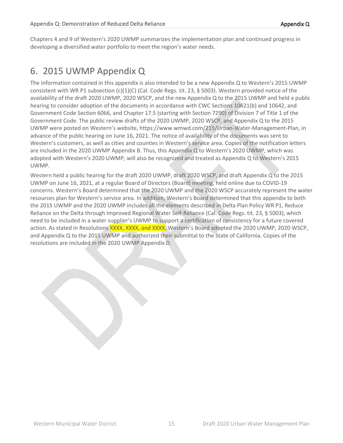Chapters 4 and 9 of Western's 2020 UWMP summarizes the implementation plan and continued progress in developing a diversified water portfolio to meet the region's water needs.

# 6. 2015 UWMP Appendix Q

The information contained in this appendix is also intended to be a new Appendix Q to Western's 2015 UWMP consistent with WR P1 subsection (c)(1)(C) (Cal. Code Regs. tit. 23, § 5003). Western provided notice of the availability of the draft 2020 UWMP, 2020 WSCP, and the new Appendix Q to the 2015 UWMP and held a public hearing to consider adoption of the documents in accordance with CWC Sections 10621(b) and 10642, and Government Code Section 6066, and Chapter 17.5 (starting with Section 7290) of Division 7 of Title 1 of the Government Code. The public review drafts of the 2020 UWMP, 2020 WSCP, and Appendix Q to the 2015 UWMP were posted on Western's website, https://www.wmwd.com/215/Urban-Water-Management-Plan, in advance of the public hearing on June 16, 2021. The notice of availability of the documents was sent to Western's customers, as well as cities and counties in Western's service area. Copies of the notification letters are included in the 2020 UWMP Appendix B. Thus, this Appendix Q to Western's 2020 UWMP, which was adopted with Western's 2020 UWMP, will also be recognized and treated as Appendix Q to Western's 2015 UWMP.

Western held a public hearing for the draft 2020 UWMP, draft 2020 WSCP, and draft Appendix Q to the 2015 UWMP on June 16, 2021, at a regular Board of Directors (Board) meeting, held online due to COVID-19 concerns. Western's Board determined that the 2020 UWMP and the 2020 WSCP accurately represent the water resources plan for Western's service area. In addition, Western's Board determined that this appendix to both the 2015 UWMP and the 2020 UWMP includes all the elements described in Delta Plan Policy WR P1, Reduce Reliance on the Delta through Improved Regional Water Self-Reliance (Cal. Code Regs. tit. 23, § 5003), which need to be included in a water supplier's UWMP to support a certification of consistency for a future covered action. As stated in Resolutions XXXX, XXXX, and XXXX, Western's Board adopted the 2020 UWMP, 2020 WSCP, and Appendix Q to the 2015 UWMP and authorized their submittal to the State of California. Copies of the resolutions are included in the 2020 UWMP Appendix D.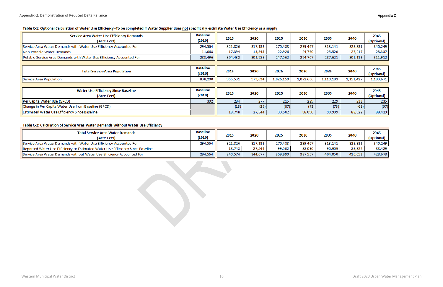| Service Area Water Use Efficiency Demands<br>(Acre-Feet)             | <b>Baseline</b><br>(2010) | 2015    | 2020    | 2025      | 2030      | 2035      | 2040      | 2045<br>(Optional) |
|----------------------------------------------------------------------|---------------------------|---------|---------|-----------|-----------|-----------|-----------|--------------------|
| Service Area Water Demands with Water Use Efficiency Accounted For   | 294,564                   | 321,826 | 317,133 | 270,488   | 299,467   | 313,141   | 328,331   | 340,249            |
| Non-Potable Water Demands                                            | 11,068                    | 17,394  | 13,345  | 22,926    | 24,760    | 25,520    | 27,217    | 28,337             |
| Potable Service Area Demands with Water Use Efficiency Accounted For | 283,496                   | 304,432 | 303,788 | 247,562   | 274,707   | 287,621   | 301,113   | 311,912            |
|                                                                      |                           |         |         |           |           |           |           |                    |
| <b>Total Service Area Population</b>                                 | <b>Baseline</b><br>(2010) | 2015    | 2020    | 2025      | 2030      | 2035      | 2040      | 2045<br>(Optional) |
| Service Area Population                                              | 838,200                   | 955,531 | 979,634 | 1,026,150 | 1,072,666 | 1,119,183 | 1,151,427 | 1,183,671          |
|                                                                      |                           |         |         |           |           |           |           |                    |
| <b>Water Use Efficiency Since Baseline</b><br>(Acre-Feet)            | <b>Baseline</b><br>(2010) | 2015    | 2020    | 2025      | 2030      | 2035      | 2040      | 2045<br>(Optional) |
| Per Capita Water Use (GPCD)                                          | 302                       | 284     | 277     | 215       | 229       | 229       | 233       | 235                |
| Change in Per Capita Water Use from Baseline (GPCD)                  |                           | (18)    | (25)    | (87)      | (73)      | (73)      | (68)      | (67)               |
| Estimated Water Use Efficiency Since Baseline                        |                           | 18,748  | 27,544  | 99,502    | 88,090    | 90,909    | 88,322    | 88,429             |

#### Table C-1: Optional Calculation of Water Use Efficiency -To be completed if Water Supplier does not specifically estimate Water Use Efficiency as a supply

#### Table C-2: Calculation of Service Area Water Demands Without Water Use Efficiency

| <b>Total Service Area Water Demands</b><br>(Acre-Feet)                         | <b>Baseline</b><br>(2010) | 2015    | 2020    | 2025    | 2030    | 2035    | 2040    | 2045<br>(Optional) |
|--------------------------------------------------------------------------------|---------------------------|---------|---------|---------|---------|---------|---------|--------------------|
| Service Area Water Demands with Water Use Efficiency Accounted For             | 294,564                   | 321,826 | 317,133 | 270,488 | 299,467 | 313,141 | 328,331 | 340,249            |
| Reported Water Use Efficiency or Estimated Water Use Efficiency Since Baseline |                           | 18,748  | 27,544  | 99,502  | 88,090  | 90,909  | 88,322  | 88,429             |
| Service Area Water Demands without Water Use Efficiency Accounted For          | 294,564                   | 340,574 | 344,677 | 369,990 | 387,557 | 404,050 | 416,653 | 428,678            |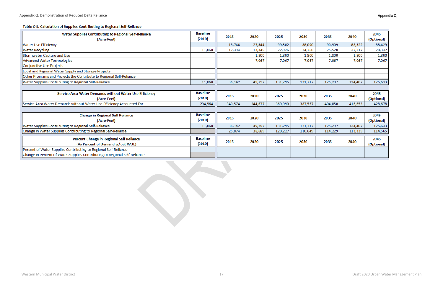#### Table C-3: Calculation of Supplies Contributing to Regional Self-Reliance

| Water Supplies Contributing to Regional Self-Reliance<br>(Acre-Feet)       | <b>Baseline</b><br>(2010) | 2015    | 2020    | 2025    | 2030    | 2035    | 2040    | 2045<br>(Optional) |
|----------------------------------------------------------------------------|---------------------------|---------|---------|---------|---------|---------|---------|--------------------|
| <b>Water Use Efficiency</b>                                                |                           | 18,748  | 27,544  | 99,502  | 88,090  | 90,909  | 88,322  | 88,429             |
| <b>Water Recycling</b>                                                     | 11,068                    | 17,394  | 13,345  | 22,926  | 24,760  | 25,520  | 27,217  | 28,337             |
| Stormwater Capture and Use                                                 |                           |         | 1,800   | 1,800   | 1,800   | 1,800   | 1,800   | 1,800              |
| Advanced Water Technologies                                                |                           |         | 7,067   | 7,067   | 7,067   | 7,067   | 7,067   | 7,067              |
| Conjunctive Use Projects                                                   |                           |         |         |         |         |         |         |                    |
| Local and Regional Water Supply and Storage Projects                       |                           |         |         |         |         |         |         |                    |
| Other Programs and Projects the Contribute to Regional Self-Reliance       |                           |         |         |         |         |         |         |                    |
| Water Supplies Contributing to Regional Self-Reliance                      | 11,068                    | 36,142  | 49,757  | 131,295 | 121,717 | 125,297 | 124,407 | 125,633            |
|                                                                            |                           |         |         |         |         |         |         |                    |
| Service Area Water Demands without Water Use Efficiency                    | <b>Baseline</b>           |         |         |         |         |         | 2040    | 2045               |
| (Acre-Feet)                                                                | (2010)                    | 2015    | 2020    | 2025    | 2030    | 2035    |         | (Optional)         |
| Service Area Water Demands without Water Use Efficiency Accounted For      | 294,564                   | 340,574 | 344,677 | 369,990 | 387,557 | 404,050 | 416,653 | 428,678            |
|                                                                            |                           |         |         |         |         |         |         |                    |
| <b>Change in Regional Self Reliance</b>                                    | <b>Baseline</b>           |         |         |         |         |         |         | 2045               |
| (Acre-Feet)                                                                | (2010)                    | 2015    | 2020    | 2025    | 2030    | 2035    | 2040    | (Optional)         |
| Water Supplies Contributing to Regional Self-Reliance                      | 11,068                    | 36,142  | 49,757  | 131,295 | 121,717 | 125,297 | 124,407 | 125,633            |
| Change in Water Supplies Contributing to Regional Self-Reliance            |                           | 25,074  | 38,689  | 120,227 | 110,649 | 114,229 | 113,339 | 114,565            |
| Percent Change in Regional Self Reliance                                   | <b>Baseline</b>           |         |         |         |         |         |         | 2045               |
| (As Percent of Demand w/out WUE)                                           | (2010)                    | 2015    | 2020    | 2025    | 2030    | 2035    | 2040    | (Optional)         |
| Percent of Water Supplies Contributing to Regional Self-Reliance           |                           |         |         |         |         |         |         |                    |
| Change in Percent of Water Supplies Contributing to Regional Self-Reliance |                           |         |         |         |         |         |         |                    |
|                                                                            |                           |         |         |         |         |         |         |                    |